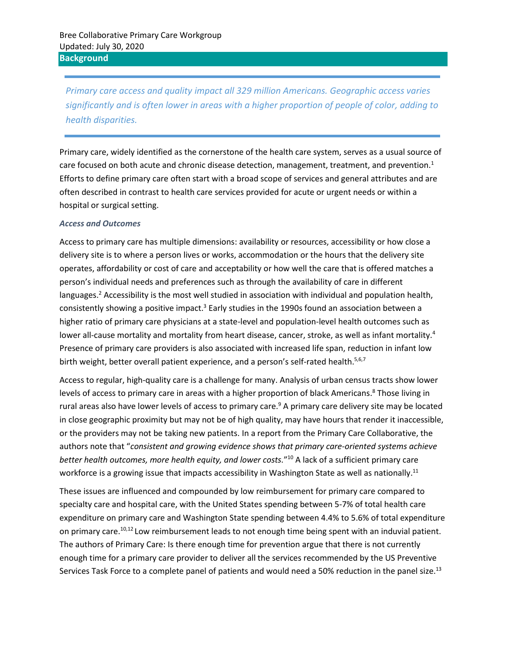*Primary care access and quality impact all 329 million Americans. Geographic access varies significantly and is often lower in areas with a higher proportion of people of color, adding to health disparities.* 

Primary care, widely identified as the cornerstone of the health care system, serves as a usual source of care focused on both acute and chronic disease detection, management, treatment, and prevention.<sup>1</sup> Efforts to define primary care often start with a broad scope of services and general attributes and are often described in contrast to health care services provided for acute or urgent needs or within a hospital or surgical setting.

#### *Access and Outcomes*

Access to primary care has multiple dimensions: availability or resources, accessibility or how close a delivery site is to where a person lives or works, accommodation or the hours that the delivery site operates, affordability or cost of care and acceptability or how well the care that is offered matches a person's individual needs and preferences such as through the availability of care in different languages.<sup>2</sup> Accessibility is the most well studied in association with individual and population health, consistently showing a positive impact.<sup>3</sup> Early studies in the 1990s found an association between a higher ratio of primary care physicians at a state-level and population-level health outcomes such as lower all-cause mortality and mortality from heart disease, cancer, stroke, as well as infant mortality.<sup>4</sup> Presence of primary care providers is also associated with increased life span, reduction in infant low birth weight, better overall patient experience, and a person's self-rated health.<sup>5,6,7</sup>

Access to regular, high-quality care is a challenge for many. Analysis of urban census tracts show lower levels of access to primary care in areas with a higher proportion of black Americans.<sup>8</sup> Those living in rural areas also have lower levels of access to primary care.<sup>9</sup> A primary care delivery site may be located in close geographic proximity but may not be of high quality, may have hours that render it inaccessible, or the providers may not be taking new patients. In a report from the Primary Care Collaborative, the authors note that "*consistent and growing evidence shows that primary care-oriented systems achieve better health outcomes, more health equity, and lower costs.*" <sup>10</sup> A lack of a sufficient primary care workforce is a growing issue that impacts accessibility in Washington State as well as nationally.<sup>11</sup>

<span id="page-0-1"></span><span id="page-0-0"></span>These issues are influenced and compounded by low reimbursement for primary care compared to specialty care and hospital care, with the United States spending between 5-7% of total health care expenditure on primary care and Washington State spending between 4.4% to 5.6% of total expenditure on primary care.<sup>[10,1](#page-0-0)2</sup> Low reimbursement leads to not enough time being spent with an induvial patient. The authors of Primary Care: Is there enough time for prevention argue that there is not currently enough time for a primary care provider to deliver all the services recommended by the US Preventive Services Task Force to a complete panel of patients and would need a 50% reduction in the panel size.<sup>13</sup>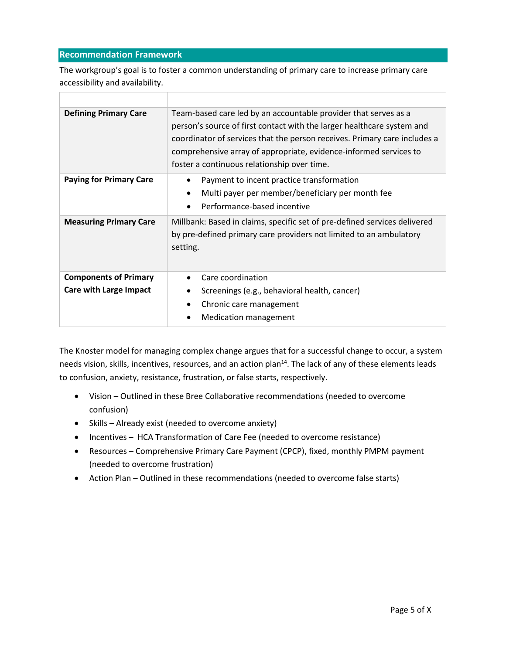# **Recommendation Framework**

The workgroup's goal is to foster a common understanding of primary care to increase primary care accessibility and availability.

| <b>Defining Primary Care</b>                                  | Team-based care led by an accountable provider that serves as a<br>person's source of first contact with the larger healthcare system and<br>coordinator of services that the person receives. Primary care includes a<br>comprehensive array of appropriate, evidence-informed services to<br>foster a continuous relationship over time. |
|---------------------------------------------------------------|--------------------------------------------------------------------------------------------------------------------------------------------------------------------------------------------------------------------------------------------------------------------------------------------------------------------------------------------|
| <b>Paying for Primary Care</b>                                | Payment to incent practice transformation<br>Multi payer per member/beneficiary per month fee<br>Performance-based incentive                                                                                                                                                                                                               |
| <b>Measuring Primary Care</b>                                 | Millbank: Based in claims, specific set of pre-defined services delivered<br>by pre-defined primary care providers not limited to an ambulatory<br>setting.                                                                                                                                                                                |
| <b>Components of Primary</b><br><b>Care with Large Impact</b> | Care coordination<br>Screenings (e.g., behavioral health, cancer)<br>Chronic care management<br><b>Medication management</b>                                                                                                                                                                                                               |

The Knoster model for managing complex change argues that for a successful change to occur, a system needs vision, skills, incentives, resources, and an action plan<sup>14</sup>. The lack of any of these elements leads to confusion, anxiety, resistance, frustration, or false starts, respectively.

- Vision Outlined in these Bree Collaborative recommendations (needed to overcome confusion)
- Skills Already exist (needed to overcome anxiety)
- Incentives HCA Transformation of Care Fee (needed to overcome resistance)
- Resources Comprehensive Primary Care Payment (CPCP), fixed, monthly PMPM payment (needed to overcome frustration)
- Action Plan Outlined in these recommendations (needed to overcome false starts)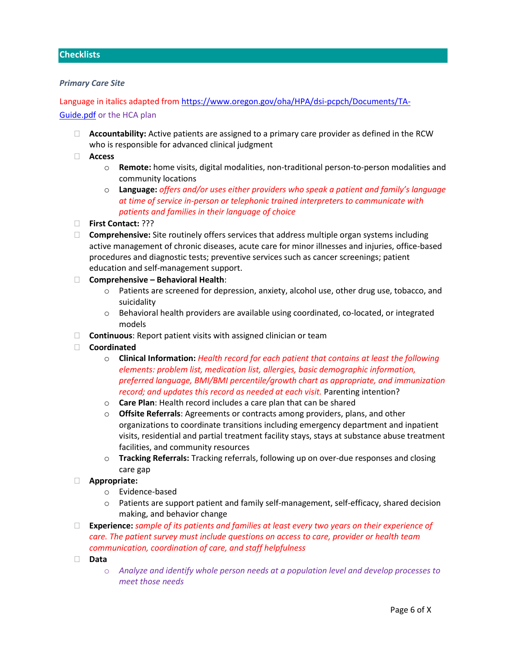## **Checklists**

#### *Primary Care Site*

Language in italics adapted fro[m https://www.oregon.gov/oha/HPA/dsi-pcpch/Documents/TA-](https://www.oregon.gov/oha/HPA/dsi-pcpch/Documents/TA-Guide.pdf)[Guide.pdf](https://www.oregon.gov/oha/HPA/dsi-pcpch/Documents/TA-Guide.pdf) or the HCA plan

- **Accountability:** Active patients are assigned to a primary care provider as defined in the RCW who is responsible for advanced clinical judgment
- **Access**
	- o **Remote:** home visits, digital modalities, non-traditional person-to-person modalities and community locations
	- o **Language:** *offers and/or uses either providers who speak a patient and family's language at time of service in-person or telephonic trained interpreters to communicate with patients and families in their language of choice*
- **First Contact:** ???
- **Comprehensive:** Site routinely offers services that address multiple organ systems including active management of chronic diseases, acute care for minor illnesses and injuries, office-based procedures and diagnostic tests; preventive services such as cancer screenings; patient education and self-management support.

### **Comprehensive – Behavioral Health**:

- $\circ$  Patients are screened for depression, anxiety, alcohol use, other drug use, tobacco, and suicidality
- o Behavioral health providers are available using coordinated, co-located, or integrated models
- **Continuous**: Report patient visits with assigned clinician or team
- **Coordinated**
	- o **Clinical Information:** *Health record for each patient that contains at least the following elements: problem list, medication list, allergies, basic demographic information, preferred language, BMI/BMI percentile/growth chart as appropriate, and immunization record; and updates this record as needed at each visit.* Parenting intention?
	- o **Care Plan**: Health record includes a care plan that can be shared
	- o **Offsite Referrals**: Agreements or contracts among providers, plans, and other organizations to coordinate transitions including emergency department and inpatient visits, residential and partial treatment facility stays, stays at substance abuse treatment facilities, and community resources
	- o **Tracking Referrals:** Tracking referrals, following up on over-due responses and closing care gap
- **Appropriate:**
	- o Evidence-based
	- o Patients are support patient and family self-management, self-efficacy, shared decision making, and behavior change
- **Experience:** *sample of its patients and families at least every two years on their experience of care. The patient survey must include questions on access to care, provider or health team communication, coordination of care, and staff helpfulness*
- **Data**
	- o *Analyze and identify whole person needs at a population level and develop processes to meet those needs*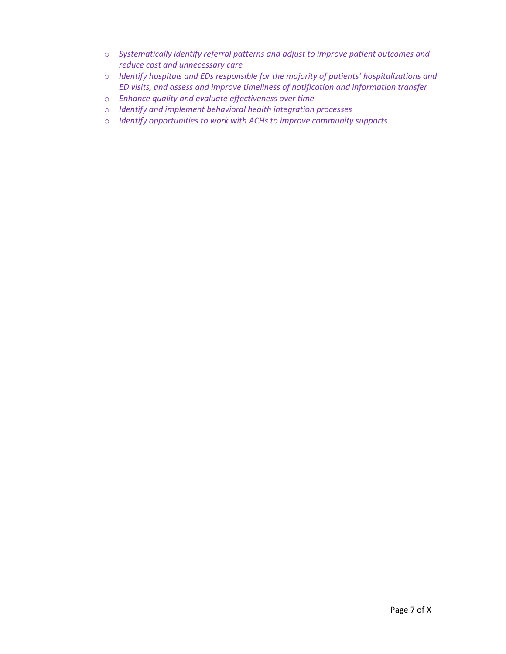- o *Systematically identify referral patterns and adjust to improve patient outcomes and reduce cost and unnecessary care*
- o *Identify hospitals and EDs responsible for the majority of patients' hospitalizations and ED visits, and assess and improve timeliness of notification and information transfer*
- o *Enhance quality and evaluate effectiveness over time*
- o *Identify and implement behavioral health integration processes*
- o *Identify opportunities to work with ACHs to improve community supports*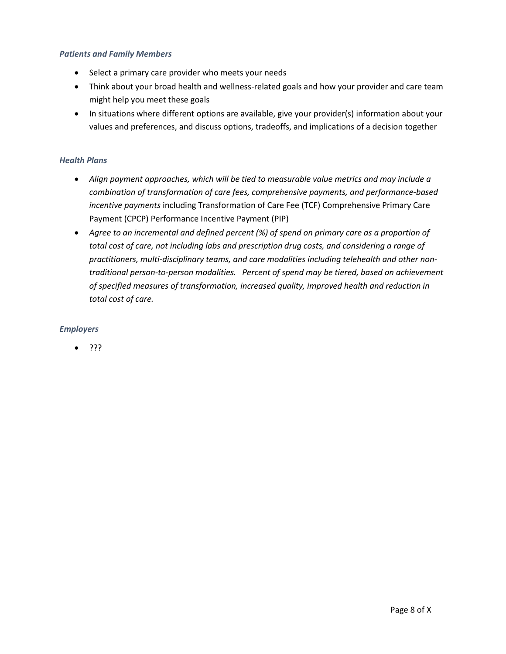# *Patients and Family Members*

- Select a primary care provider who meets your needs
- Think about your broad health and wellness-related goals and how your provider and care team might help you meet these goals
- In situations where different options are available, give your provider(s) information about your values and preferences, and discuss options, tradeoffs, and implications of a decision together

## *Health Plans*

- *Align payment approaches, which will be tied to measurable value metrics and may include a combination of transformation of care fees, comprehensive payments, and performance-based incentive payments* including Transformation of Care Fee (TCF) Comprehensive Primary Care Payment (CPCP) Performance Incentive Payment (PIP)
- *Agree to an incremental and defined percent (%) of spend on primary care as a proportion of total cost of care, not including labs and prescription drug costs, and considering a range of practitioners, multi-disciplinary teams, and care modalities including telehealth and other nontraditional person-to-person modalities. Percent of spend may be tiered, based on achievement of specified measures of transformation, increased quality, improved health and reduction in total cost of care.*

## *Employers*

• ???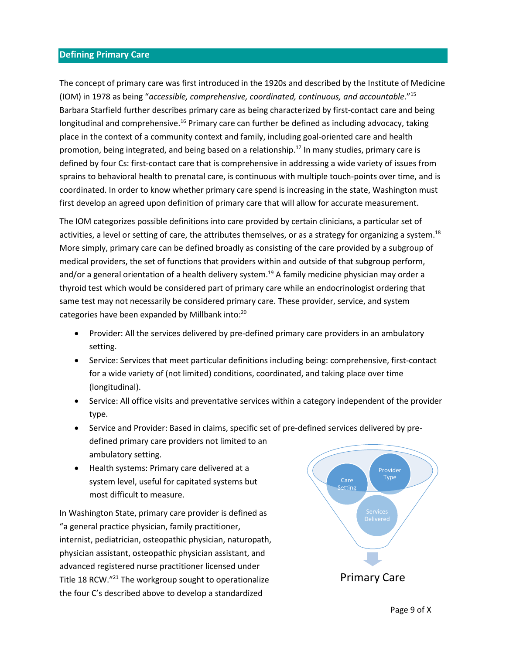# **Defining Primary Care**

The concept of primary care was first introduced in the 1920s and described by the Institute of Medicine (IOM) in 1978 as being "*accessible, comprehensive, coordinated, continuous, and accountable*."<sup>15</sup> Barbara Starfield further describes primary care as being characterized by first-contact care and being longitudinal and comprehensive.<sup>16</sup> Primary care can further be defined as including advocacy, taking place in the context of a community context and family, including goal-oriented care and health promotion, being integrated, and being based on a relationship. <sup>17</sup> In many studies, primary care is defined by four Cs: first-contact care that is comprehensive in addressing a wide variety of issues from sprains to behavioral health to prenatal care, is continuous with multiple touch-points over time, and is coordinated. In order to know whether primary care spend is increasing in the state, Washington must first develop an agreed upon definition of primary care that will allow for accurate measurement.

The IOM categorizes possible definitions into care provided by certain clinicians, a particular set of activities, a level or setting of care, the attributes themselves, or as a strategy for organizing a system.<sup>18</sup> More simply, primary care can be defined broadly as consisting of the care provided by a subgroup of medical providers, the set of functions that providers within and outside of that subgroup perform, and/or a general orientation of a health delivery system.<sup>19</sup> A family medicine physician may order a thyroid test which would be considered part of primary care while an endocrinologist ordering that same test may not necessarily be considered primary care. These provider, service, and system categories have been expanded by Millbank into:<sup>20</sup>

- Provider: All the services delivered by pre-defined primary care providers in an ambulatory setting.
- Service: Services that meet particular definitions including being: comprehensive, first-contact for a wide variety of (not limited) conditions, coordinated, and taking place over time (longitudinal).
- Service: All office visits and preventative services within a category independent of the provider type.
- Service and Provider: Based in claims, specific set of pre-defined services delivered by predefined primary care providers not limited to an ambulatory setting.
- Health systems: Primary care delivered at a system level, useful for capitated systems but most difficult to measure.

In Washington State, primary care provider is defined as "a general practice physician, family practitioner, internist, pediatrician, osteopathic physician, naturopath, physician assistant, osteopathic physician assistant, and advanced registered nurse practitioner licensed under Title 18 RCW."<sup>21</sup> The workgroup sought to operationalize the four C's described above to develop a standardized

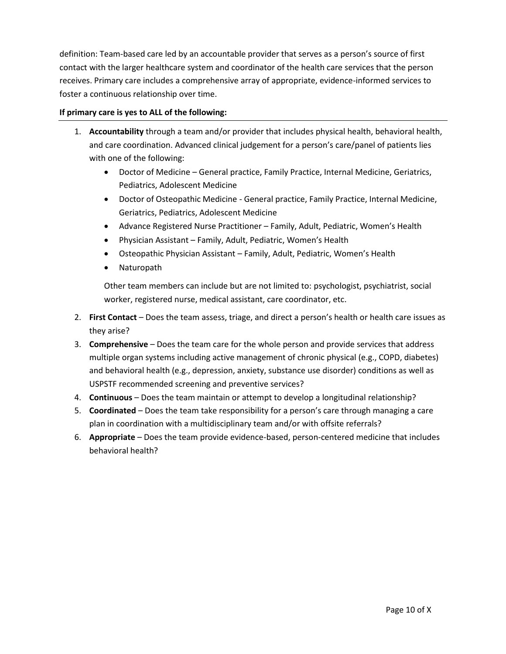definition: Team-based care led by an accountable provider that serves as a person's source of first contact with the larger healthcare system and coordinator of the health care services that the person receives. Primary care includes a comprehensive array of appropriate, evidence-informed services to foster a continuous relationship over time.

# **If primary care is yes to ALL of the following:**

- 1. **Accountability** through a team and/or provider that includes physical health, behavioral health, and care coordination. Advanced clinical judgement for a person's care/panel of patients lies with one of the following:
	- Doctor of Medicine General practice, Family Practice, Internal Medicine, Geriatrics, Pediatrics, Adolescent Medicine
	- Doctor of Osteopathic Medicine General practice, Family Practice, Internal Medicine, Geriatrics, Pediatrics, Adolescent Medicine
	- Advance Registered Nurse Practitioner Family, Adult, Pediatric, Women's Health
	- Physician Assistant Family, Adult, Pediatric, Women's Health
	- Osteopathic Physician Assistant Family, Adult, Pediatric, Women's Health
	- Naturopath

Other team members can include but are not limited to: psychologist, psychiatrist, social worker, registered nurse, medical assistant, care coordinator, etc.

- 2. **First Contact** Does the team assess, triage, and direct a person's health or health care issues as they arise?
- 3. **Comprehensive** Does the team care for the whole person and provide services that address multiple organ systems including active management of chronic physical (e.g., COPD, diabetes) and behavioral health (e.g., depression, anxiety, substance use disorder) conditions as well as USPSTF recommended screening and preventive services?
- 4. **Continuous** Does the team maintain or attempt to develop a longitudinal relationship?
- 5. **Coordinated** Does the team take responsibility for a person's care through managing a care plan in coordination with a multidisciplinary team and/or with offsite referrals?
- 6. **Appropriate** Does the team provide evidence-based, person-centered medicine that includes behavioral health?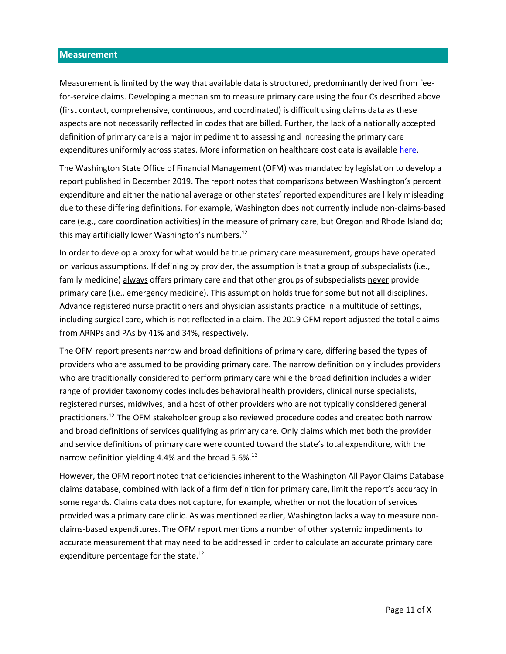#### **Measurement**

Measurement is limited by the way that available data is structured, predominantly derived from feefor-service claims. Developing a mechanism to measure primary care using the four Cs described above (first contact, comprehensive, continuous, and coordinated) is difficult using claims data as these aspects are not necessarily reflected in codes that are billed. Further, the lack of a nationally accepted definition of primary care is a major impediment to assessing and increasing the primary care expenditures uniformly across states. More information on healthcare cost data is availabl[e here.](https://www.cdc.gov/workplacehealthpromotion/model/healthcare-cost-data/interpreting.html)

The Washington State Office of Financial Management (OFM) was mandated by legislation to develop a report published in December 2019. The report notes that comparisons between Washington's percent expenditure and either the national average or other states' reported expenditures are likely misleading due to these differing definitions. For example, Washington does not currently include non-claims-based care (e.g., care coordination activities) in the measure of primary care, but Oregon and Rhode Island do; this may artificially lower Washington's numbers.<sup>[12](#page-0-1)</sup>

In order to develop a proxy for what would be true primary care measurement, groups have operated on various assumptions. If defining by provider, the assumption is that a group of subspecialists (i.e., family medicine) always offers primary care and that other groups of subspecialists never provide primary care (i.e., emergency medicine). This assumption holds true for some but not all disciplines. Advance registered nurse practitioners and physician assistants practice in a multitude of settings, including surgical care, which is not reflected in a claim. The 2019 OFM report adjusted the total claims from ARNPs and PAs by 41% and 34%, respectively.

The OFM report presents narrow and broad definitions of primary care, differing based the types of providers who are assumed to be providing primary care. The narrow definition only includes providers who are traditionally considered to perform primary care while the broad definition includes a wider range of provider taxonomy codes includes behavioral health providers, clinical nurse specialists, registered nurses, midwives, and a host of other providers who are not typically considered general practitioners. [12](#page-0-1) The OFM stakeholder group also reviewed procedure codes and created both narrow and broad definitions of services qualifying as primary care. Only claims which met both the provider and service definitions of primary care were counted toward the state's total expenditure, with the narrow definition yielding 4.4% and the broad  $5.6\%$ .<sup>[12](#page-0-1)</sup>

However, the OFM report noted that deficiencies inherent to the Washington All Payor Claims Database claims database, combined with lack of a firm definition for primary care, limit the report's accuracy in some regards. Claims data does not capture, for example, whether or not the location of services provided was a primary care clinic. As was mentioned earlier, Washington lacks a way to measure nonclaims-based expenditures. The OFM report mentions a number of other systemic impediments to accurate measurement that may need to be addressed in order to calculate an accurate primary care expenditure percentage for the state.<sup>[12](#page-0-1)</sup>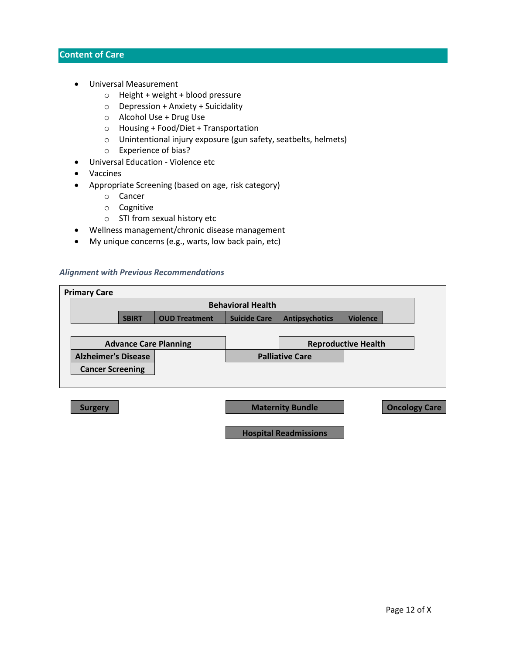# **Content of Care**

- Universal Measurement
	- o Height + weight + blood pressure
	- $\circ$  Depression + Anxiety + Suicidality
	- o Alcohol Use + Drug Use
	- o Housing + Food/Diet + Transportation
	- o Unintentional injury exposure (gun safety, seatbelts, helmets)
	- o Experience of bias?
- Universal Education Violence etc
- Vaccines
- Appropriate Screening (based on age, risk category)
	- o Cancer
	- o Cognitive
	- o STI from sexual history etc
- Wellness management/chronic disease management
- My unique concerns (e.g., warts, low back pain, etc)

#### *Alignment with Previous Recommendations*

| <b>Primary Care</b>          |                          |                      |                     |                        |                            |  |
|------------------------------|--------------------------|----------------------|---------------------|------------------------|----------------------------|--|
|                              | <b>Behavioral Health</b> |                      |                     |                        |                            |  |
|                              | <b>SBIRT</b>             | <b>OUD Treatment</b> | <b>Suicide Care</b> | <b>Antipsychotics</b>  | <b>Violence</b>            |  |
|                              |                          |                      |                     |                        |                            |  |
| <b>Advance Care Planning</b> |                          |                      |                     |                        | <b>Reproductive Health</b> |  |
| <b>Alzheimer's Disease</b>   |                          |                      |                     | <b>Palliative Care</b> |                            |  |
| <b>Cancer Screening</b>      |                          |                      |                     |                        |                            |  |
|                              |                          |                      |                     |                        |                            |  |

**Surgery | Carry Carry Carry Carry Carry Carry Carry Maternity Bundle Carry Carry Carry Carry Carry Carry Carry Carry Carry Carry Carry Carry Carry Carry Carry Carry Carry Carry Carry Carry Carry Carry Carry Carry Carry Ca** 

**Hospital Readmissions**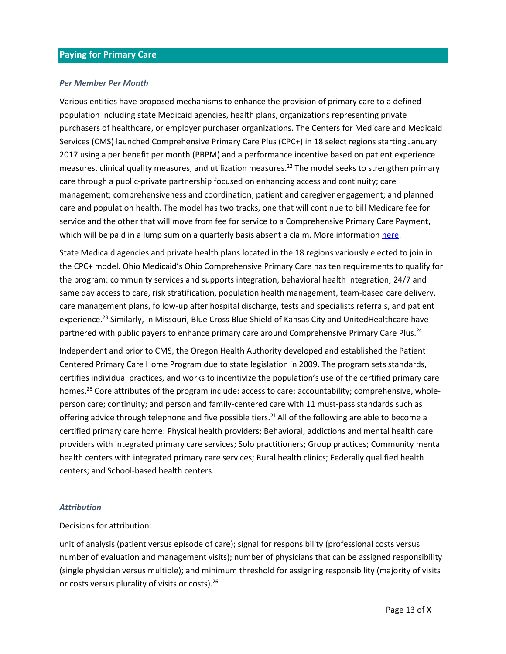# **Paying for Primary Care**

#### *Per Member Per Month*

Various entities have proposed mechanisms to enhance the provision of primary care to a defined population including state Medicaid agencies, health plans, organizations representing private purchasers of healthcare, or employer purchaser organizations. The Centers for Medicare and Medicaid Services (CMS) launched Comprehensive Primary Care Plus (CPC+) in 18 select regions starting January 2017 using a per benefit per month (PBPM) and a performance incentive based on patient experience measures, clinical quality measures, and utilization measures. <sup>22</sup> The model seeks to strengthen primary care through a public-private partnership focused on enhancing access and continuity; care management; comprehensiveness and coordination; patient and caregiver engagement; and planned care and population health. The model has two tracks, one that will continue to bill Medicare fee for service and the other that will move from fee for service to a Comprehensive Primary Care Payment, which will be paid in a lump sum on a quarterly basis absent a claim. More information [here.](https://innovation.cms.gov/innovation-models/comprehensive-primary-care-plus)

State Medicaid agencies and private health plans located in the 18 regions variously elected to join in the CPC+ model. Ohio Medicaid's Ohio Comprehensive Primary Care has ten requirements to qualify for the program: community services and supports integration, behavioral health integration, 24/7 and same day access to care, risk stratification, population health management, team-based care delivery, care management plans, follow-up after hospital discharge, tests and specialists referrals, and patient experience.<sup>23</sup> Similarly, in Missouri, Blue Cross Blue Shield of Kansas City and UnitedHealthcare have partnered with public payers to enhance primary care around Comprehensive Primary Care Plus.<sup>24</sup>

Independent and prior to CMS, the Oregon Health Authority developed and established the Patient Centered Primary Care Home Program due to state legislation in 2009. The program sets standards, certifies individual practices, and works to incentivize the population's use of the certified primary care homes.<sup>25</sup> Core attributes of the program include: access to care; accountability; comprehensive, wholeperson care; continuity; and person and family-centered care with 11 must-pass standards such as offering advice through telephone and five possible tiers.<sup>21</sup> All of the following are able to become a certified primary care home: Physical health providers; Behavioral, addictions and mental health care providers with integrated primary care services; Solo practitioners; Group practices; Community mental health centers with integrated primary care services; Rural health clinics; Federally qualified health centers; and School-based health centers.

#### *Attribution*

#### Decisions for attribution:

unit of analysis (patient versus episode of care); signal for responsibility (professional costs versus number of evaluation and management visits); number of physicians that can be assigned responsibility (single physician versus multiple); and minimum threshold for assigning responsibility (majority of visits or costs versus plurality of visits or costs).26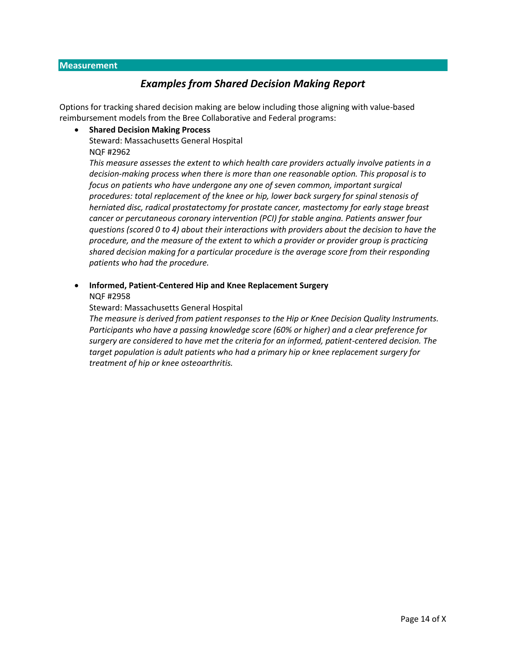# *Examples from Shared Decision Making Report*

Options for tracking shared decision making are below including those aligning with value-based reimbursement models from the Bree Collaborative and Federal programs:

## • **Shared Decision Making Process**

Steward: Massachusetts General Hospital

NQF #2962

*This measure assesses the extent to which health care providers actually involve patients in a decision-making process when there is more than one reasonable option. This proposal is to focus on patients who have undergone any one of seven common, important surgical procedures: total replacement of the knee or hip, lower back surgery for spinal stenosis of herniated disc, radical prostatectomy for prostate cancer, mastectomy for early stage breast cancer or percutaneous coronary intervention (PCI) for stable angina. Patients answer four questions (scored 0 to 4) about their interactions with providers about the decision to have the procedure, and the measure of the extent to which a provider or provider group is practicing shared decision making for a particular procedure is the average score from their responding patients who had the procedure.*

# • **Informed, Patient-Centered Hip and Knee Replacement Surgery**

NQF #2958

# Steward: Massachusetts General Hospital

*The measure is derived from patient responses to the Hip or Knee Decision Quality Instruments. Participants who have a passing knowledge score (60% or higher) and a clear preference for surgery are considered to have met the criteria for an informed, patient-centered decision. The target population is adult patients who had a primary hip or knee replacement surgery for treatment of hip or knee osteoarthritis.*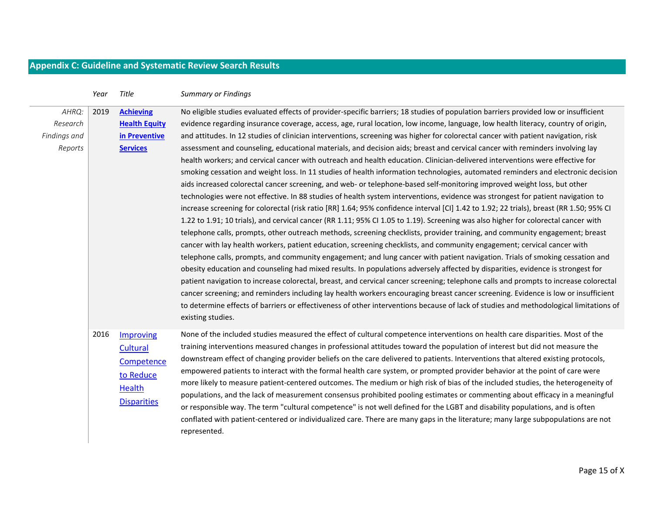# **Appendix C: Guideline and Systematic Review Search Results**

|                                              | Year | Title                                                                            | <b>Summary or Findings</b>                                                                                                                                                                                                                                                                                                                                                                                                                                                                                                                                                                                                                                                                                                                                                                                                                                                                                                                                                                                                                                                                                                                                                                                                                                                                                                                                                                                                                                                                                                                                                                                                                                                                                                                                                                                                                                                                                                                                                                                                                                                                                                                                                                                                                                                                                                               |
|----------------------------------------------|------|----------------------------------------------------------------------------------|------------------------------------------------------------------------------------------------------------------------------------------------------------------------------------------------------------------------------------------------------------------------------------------------------------------------------------------------------------------------------------------------------------------------------------------------------------------------------------------------------------------------------------------------------------------------------------------------------------------------------------------------------------------------------------------------------------------------------------------------------------------------------------------------------------------------------------------------------------------------------------------------------------------------------------------------------------------------------------------------------------------------------------------------------------------------------------------------------------------------------------------------------------------------------------------------------------------------------------------------------------------------------------------------------------------------------------------------------------------------------------------------------------------------------------------------------------------------------------------------------------------------------------------------------------------------------------------------------------------------------------------------------------------------------------------------------------------------------------------------------------------------------------------------------------------------------------------------------------------------------------------------------------------------------------------------------------------------------------------------------------------------------------------------------------------------------------------------------------------------------------------------------------------------------------------------------------------------------------------------------------------------------------------------------------------------------------------|
| AHRQ:<br>Research<br>Findings and<br>Reports | 2019 | <b>Achieving</b><br><b>Health Equity</b><br>in Preventive<br><b>Services</b>     | No eligible studies evaluated effects of provider-specific barriers; 18 studies of population barriers provided low or insufficient<br>evidence regarding insurance coverage, access, age, rural location, low income, language, low health literacy, country of origin,<br>and attitudes. In 12 studies of clinician interventions, screening was higher for colorectal cancer with patient navigation, risk<br>assessment and counseling, educational materials, and decision aids; breast and cervical cancer with reminders involving lay<br>health workers; and cervical cancer with outreach and health education. Clinician-delivered interventions were effective for<br>smoking cessation and weight loss. In 11 studies of health information technologies, automated reminders and electronic decision<br>aids increased colorectal cancer screening, and web- or telephone-based self-monitoring improved weight loss, but other<br>technologies were not effective. In 88 studies of health system interventions, evidence was strongest for patient navigation to<br>increase screening for colorectal (risk ratio [RR] 1.64; 95% confidence interval [CI] 1.42 to 1.92; 22 trials), breast (RR 1.50; 95% CI<br>1.22 to 1.91; 10 trials), and cervical cancer (RR 1.11; 95% CI 1.05 to 1.19). Screening was also higher for colorectal cancer with<br>telephone calls, prompts, other outreach methods, screening checklists, provider training, and community engagement; breast<br>cancer with lay health workers, patient education, screening checklists, and community engagement; cervical cancer with<br>telephone calls, prompts, and community engagement; and lung cancer with patient navigation. Trials of smoking cessation and<br>obesity education and counseling had mixed results. In populations adversely affected by disparities, evidence is strongest for<br>patient navigation to increase colorectal, breast, and cervical cancer screening; telephone calls and prompts to increase colorectal<br>cancer screening; and reminders including lay health workers encouraging breast cancer screening. Evidence is low or insufficient<br>to determine effects of barriers or effectiveness of other interventions because of lack of studies and methodological limitations of<br>existing studies. |
|                                              | 2016 | Improving<br>Cultural<br>Competence<br>to Reduce<br>Health<br><b>Disparities</b> | None of the included studies measured the effect of cultural competence interventions on health care disparities. Most of the<br>training interventions measured changes in professional attitudes toward the population of interest but did not measure the<br>downstream effect of changing provider beliefs on the care delivered to patients. Interventions that altered existing protocols,<br>empowered patients to interact with the formal health care system, or prompted provider behavior at the point of care were<br>more likely to measure patient-centered outcomes. The medium or high risk of bias of the included studies, the heterogeneity of<br>populations, and the lack of measurement consensus prohibited pooling estimates or commenting about efficacy in a meaningful<br>or responsible way. The term "cultural competence" is not well defined for the LGBT and disability populations, and is often<br>conflated with patient-centered or individualized care. There are many gaps in the literature; many large subpopulations are not<br>represented.                                                                                                                                                                                                                                                                                                                                                                                                                                                                                                                                                                                                                                                                                                                                                                                                                                                                                                                                                                                                                                                                                                                                                                                                                                                    |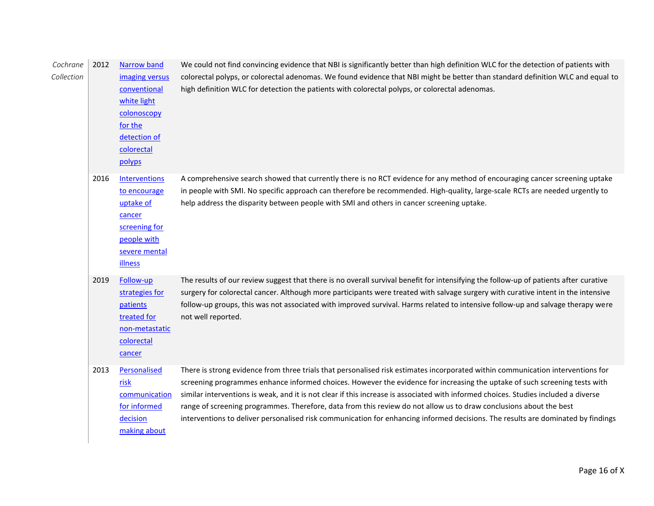| Cochrane<br>Collection | 2012 | <b>Narrow band</b><br>imaging versus<br>conventional<br>white light<br>colonoscopy<br>for the<br>detection of<br>colorectal<br>polyps | We could not find convincing evidence that NBI is significantly better than high definition WLC for the detection of patients with<br>colorectal polyps, or colorectal adenomas. We found evidence that NBI might be better than standard definition WLC and equal to<br>high definition WLC for detection the patients with colorectal polyps, or colorectal adenomas.                                                                                                                                                                                                                                                                                        |
|------------------------|------|---------------------------------------------------------------------------------------------------------------------------------------|----------------------------------------------------------------------------------------------------------------------------------------------------------------------------------------------------------------------------------------------------------------------------------------------------------------------------------------------------------------------------------------------------------------------------------------------------------------------------------------------------------------------------------------------------------------------------------------------------------------------------------------------------------------|
|                        | 2016 | <b>Interventions</b><br>to encourage<br>uptake of<br>cancer<br>screening for<br>people with<br>severe mental<br><b>illness</b>        | A comprehensive search showed that currently there is no RCT evidence for any method of encouraging cancer screening uptake<br>in people with SMI. No specific approach can therefore be recommended. High-quality, large-scale RCTs are needed urgently to<br>help address the disparity between people with SMI and others in cancer screening uptake.                                                                                                                                                                                                                                                                                                       |
|                        | 2019 | Follow-up<br>strategies for<br>patients<br>treated for<br>non-metastatic<br>colorectal<br>cancer                                      | The results of our review suggest that there is no overall survival benefit for intensifying the follow-up of patients after curative<br>surgery for colorectal cancer. Although more participants were treated with salvage surgery with curative intent in the intensive<br>follow-up groups, this was not associated with improved survival. Harms related to intensive follow-up and salvage therapy were<br>not well reported.                                                                                                                                                                                                                            |
|                        | 2013 | Personalised<br>risk<br>communication<br>for informed<br>decision<br>making about                                                     | There is strong evidence from three trials that personalised risk estimates incorporated within communication interventions for<br>screening programmes enhance informed choices. However the evidence for increasing the uptake of such screening tests with<br>similar interventions is weak, and it is not clear if this increase is associated with informed choices. Studies included a diverse<br>range of screening programmes. Therefore, data from this review do not allow us to draw conclusions about the best<br>interventions to deliver personalised risk communication for enhancing informed decisions. The results are dominated by findings |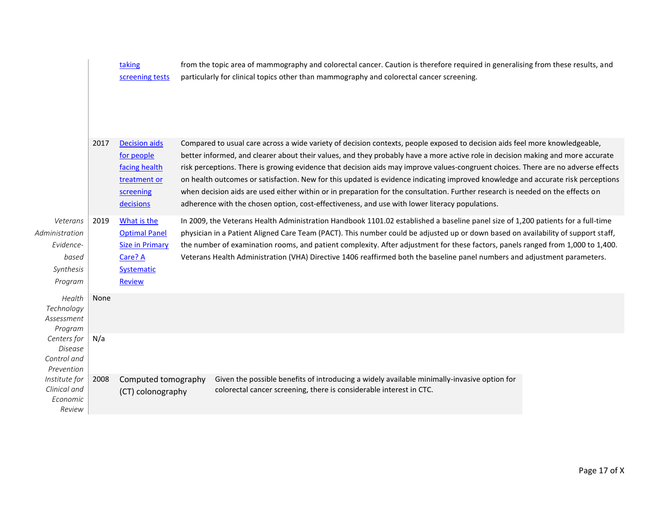|                                                                          |      | taking<br>screening tests                                                                               | from the topic area of mammography and colorectal cancer. Caution is therefore required in generalising from these results, and<br>particularly for clinical topics other than mammography and colorectal cancer screening.                                                                                                                                                                                                                                                                                                                                                                                                                                                                                                                                                 |  |
|--------------------------------------------------------------------------|------|---------------------------------------------------------------------------------------------------------|-----------------------------------------------------------------------------------------------------------------------------------------------------------------------------------------------------------------------------------------------------------------------------------------------------------------------------------------------------------------------------------------------------------------------------------------------------------------------------------------------------------------------------------------------------------------------------------------------------------------------------------------------------------------------------------------------------------------------------------------------------------------------------|--|
|                                                                          | 2017 | <b>Decision aids</b><br>for people<br>facing health<br>treatment or<br>screening<br>decisions           | Compared to usual care across a wide variety of decision contexts, people exposed to decision aids feel more knowledgeable,<br>better informed, and clearer about their values, and they probably have a more active role in decision making and more accurate<br>risk perceptions. There is growing evidence that decision aids may improve values-congruent choices. There are no adverse effects<br>on health outcomes or satisfaction. New for this updated is evidence indicating improved knowledge and accurate risk perceptions<br>when decision aids are used either within or in preparation for the consultation. Further research is needed on the effects on<br>adherence with the chosen option, cost-effectiveness, and use with lower literacy populations. |  |
| Veterans<br>Administration<br>Evidence-<br>based<br>Synthesis<br>Program | 2019 | What is the<br><b>Optimal Panel</b><br><b>Size in Primary</b><br>Care? A<br>Systematic<br><b>Review</b> | In 2009, the Veterans Health Administration Handbook 1101.02 established a baseline panel size of 1,200 patients for a full-time<br>physician in a Patient Aligned Care Team (PACT). This number could be adjusted up or down based on availability of support staff,<br>the number of examination rooms, and patient complexity. After adjustment for these factors, panels ranged from 1,000 to 1,400.<br>Veterans Health Administration (VHA) Directive 1406 reaffirmed both the baseline panel numbers and adjustment parameters.                                                                                                                                                                                                                                       |  |
| Health<br>Technology<br>Assessment<br>Program                            | None |                                                                                                         |                                                                                                                                                                                                                                                                                                                                                                                                                                                                                                                                                                                                                                                                                                                                                                             |  |
| Centers for<br>Disease<br>Control and<br>Prevention                      | N/a  |                                                                                                         |                                                                                                                                                                                                                                                                                                                                                                                                                                                                                                                                                                                                                                                                                                                                                                             |  |
| Institute for<br>Clinical and<br>Economic<br>Review                      | 2008 | Computed tomography<br>(CT) colonography                                                                | Given the possible benefits of introducing a widely available minimally-invasive option for<br>colorectal cancer screening, there is considerable interest in CTC.                                                                                                                                                                                                                                                                                                                                                                                                                                                                                                                                                                                                          |  |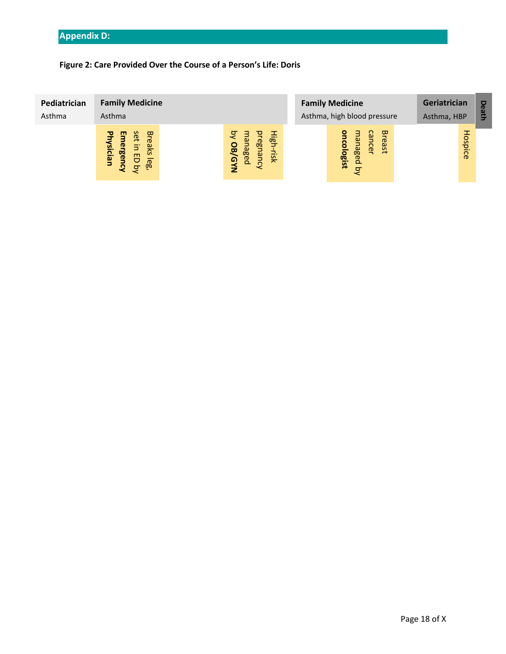# **Figure 2: Care Provided Over the Course of a Person's Life: Doris**

| Pediatrician<br>Asthma | <b>Family Medicine</b><br>Asthma                                                                           |                                                                                               | <b>Family Medicine</b><br>Asthma, high blood pressure      | Geriatrician<br>Asthma, HBP | Death |
|------------------------|------------------------------------------------------------------------------------------------------------|-----------------------------------------------------------------------------------------------|------------------------------------------------------------|-----------------------------|-------|
|                        | Set<br><b>Bre</b><br>ш<br>3<br>hysician<br>nergen<br><b>aks</b><br>5<br>8<br>$\mathbb{E}$<br>$\Omega$<br>ਕ | ्ट<br>ligh<br>$\omega$<br>egn<br><b>OB/GY</b><br><b>age</b><br>-risk<br>lanc<br>$\Omega$<br>z | cancer<br><b>Breast</b><br>hanaged<br>cologist<br>$\sigma$ | Hospice                     |       |